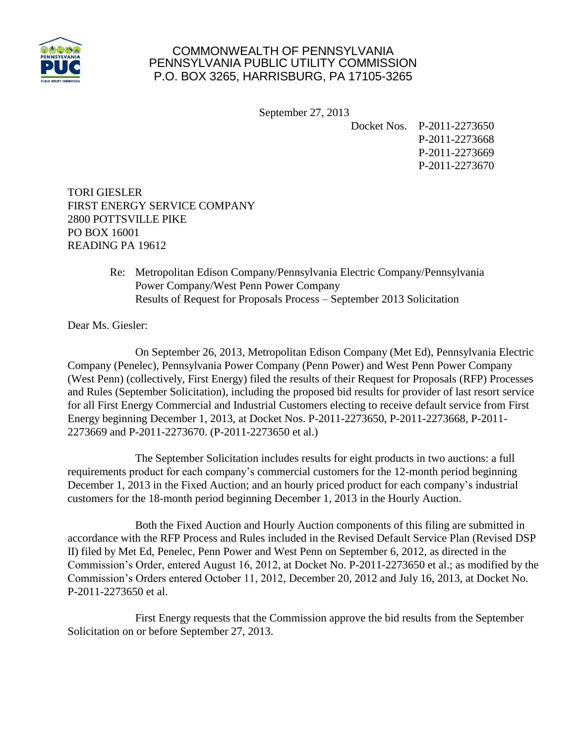

## COMMONWEALTH OF PENNSYLVANIA PENNSYLVANIA PUBLIC UTILITY COMMISSION P.O. BOX 3265, HARRISBURG, PA 17105-3265

September 27, 2013

Docket Nos. P-2011-2273650 P-2011-2273668 P-2011-2273669 P-2011-2273670

TORI GIESLER FIRST ENERGY SERVICE COMPANY 2800 POTTSVILLE PIKE PO BOX 16001 READING PA 19612

> Re: Metropolitan Edison Company/Pennsylvania Electric Company/Pennsylvania Power Company/West Penn Power Company Results of Request for Proposals Process – September 2013 Solicitation

Dear Ms. Giesler:

On September 26, 2013, Metropolitan Edison Company (Met Ed), Pennsylvania Electric Company (Penelec), Pennsylvania Power Company (Penn Power) and West Penn Power Company (West Penn) (collectively, First Energy) filed the results of their Request for Proposals (RFP) Processes and Rules (September Solicitation), including the proposed bid results for provider of last resort service for all First Energy Commercial and Industrial Customers electing to receive default service from First Energy beginning December 1, 2013, at Docket Nos. P-2011-2273650, P-2011-2273668, P-2011- 2273669 and P-2011-2273670. (P-2011-2273650 et al.)

The September Solicitation includes results for eight products in two auctions: a full requirements product for each company's commercial customers for the 12-month period beginning December 1, 2013 in the Fixed Auction; and an hourly priced product for each company's industrial customers for the 18-month period beginning December 1, 2013 in the Hourly Auction.

Both the Fixed Auction and Hourly Auction components of this filing are submitted in accordance with the RFP Process and Rules included in the Revised Default Service Plan (Revised DSP II) filed by Met Ed, Penelec, Penn Power and West Penn on September 6, 2012, as directed in the Commission's Order, entered August 16, 2012, at Docket No. P-2011-2273650 et al.; as modified by the Commission's Orders entered October 11, 2012, December 20, 2012 and July 16, 2013, at Docket No. P-2011-2273650 et al.

First Energy requests that the Commission approve the bid results from the September Solicitation on or before September 27, 2013.